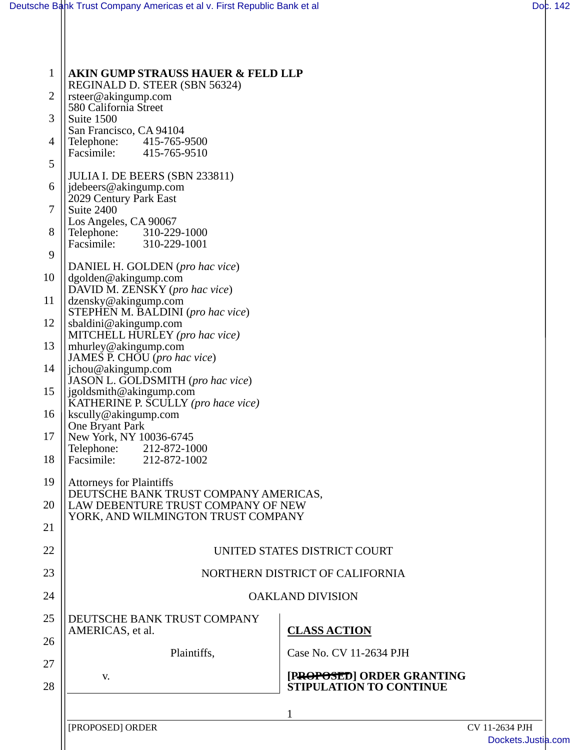| $\mathbf{1}$ | <b>AKIN GUMP STRAUSS HAUER &amp; FELD LLP</b>                                                                  |                                |
|--------------|----------------------------------------------------------------------------------------------------------------|--------------------------------|
| 2            | REGINALD D. STEER (SBN 56324)<br>rsteer@akingump.com                                                           |                                |
| 3            | 580 California Street<br>Suite 1500                                                                            |                                |
| 4            | San Francisco, CA 94104                                                                                        |                                |
|              | Telephone: 415-765-9500<br>Facsimile: 415-765-9510                                                             |                                |
| 5            | JULIA I. DE BEERS (SBN 233811)                                                                                 |                                |
| 6            | jdebeers@akingump.com<br>2029 Century Park East                                                                |                                |
| 7            | Suite 2400                                                                                                     |                                |
| 8            | Los Angeles, CA 90067<br>Telephone: 310-229-1000<br>Facsimile: 310-229-1001                                    |                                |
| 9            |                                                                                                                |                                |
| 10           | DANIEL H. GOLDEN (pro hac vice)                                                                                |                                |
|              | dgolden@akingump.com<br>DAVID M. ZENSKY (pro hac vice)                                                         |                                |
| 11           | dzensky@akingump.com<br>STEPHEN M. BALDINI (pro hac vice)                                                      |                                |
| 12           | sbaldini@akingump.com<br>MITCHELL HURLEY (pro hac vice)                                                        |                                |
| 13           | mhurley@akingump.com                                                                                           |                                |
| 14           | JAMES P. CHOU (pro hac vice)<br>jchou@akingump.com                                                             |                                |
| 15           | JASON L. GOLDSMITH (pro hac vice)<br>jgoldsmith@akingump.com                                                   |                                |
| 16           | KATHERINE P. SCULLY (pro hace vice)<br>kscully@akingump.com                                                    |                                |
|              | One Bryant Park                                                                                                |                                |
| 17           | New York, NY 10036-6745<br>Telephone: 212-872-1000                                                             |                                |
| 18           | Facsimile: 212-872-1002                                                                                        |                                |
| 19           | <b>Attorneys for Plaintiffs</b><br>DEUTSCHE BANK TRUST COMPANY AMERICAS,<br>LAW DEBENTURE TRUST COMPANY OF NEW |                                |
| 20           |                                                                                                                |                                |
| 21           | YORK, AND WILMINGTON TRUST COMPANY                                                                             |                                |
| 22           | UNITED STATES DISTRICT COURT                                                                                   |                                |
| 23           | NORTHERN DISTRICT OF CALIFORNIA                                                                                |                                |
| 24           | <b>OAKLAND DIVISION</b>                                                                                        |                                |
| 25           | DEUTSCHE BANK TRUST COMPANY                                                                                    |                                |
|              | AMERICAS, et al.                                                                                               | <b>CLASS ACTION</b>            |
| 26           | Plaintiffs,                                                                                                    | Case No. CV 11-2634 PJH        |
| 27           | V.                                                                                                             | [PROPOSED] ORDER GRANTING      |
| 28           |                                                                                                                | <b>STIPULATION TO CONTINUE</b> |
|              |                                                                                                                | 1                              |
|              | [PROPOSED] ORDER                                                                                               | CV 11-2634 PJH                 |